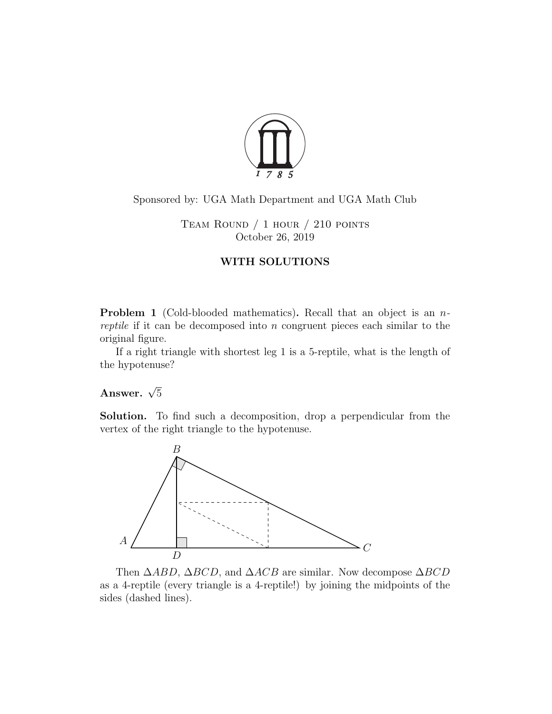

## Sponsored by: UGA Math Department and UGA Math Club

Team Round / 1 hour / 210 points October 26, 2019

## WITH SOLUTIONS

**Problem 1** (Cold-blooded mathematics). Recall that an object is an nreptile if it can be decomposed into n congruent pieces each similar to the original figure.

If a right triangle with shortest leg 1 is a 5-reptile, what is the length of the hypotenuse?

## Answer.  $\sqrt{5}$

Solution. To find such a decomposition, drop a perpendicular from the vertex of the right triangle to the hypotenuse.



Then  $\triangle ABD$ ,  $\triangle BCD$ , and  $\triangle ACB$  are similar. Now decompose  $\triangle BCD$ as a 4-reptile (every triangle is a 4-reptile!) by joining the midpoints of the sides (dashed lines).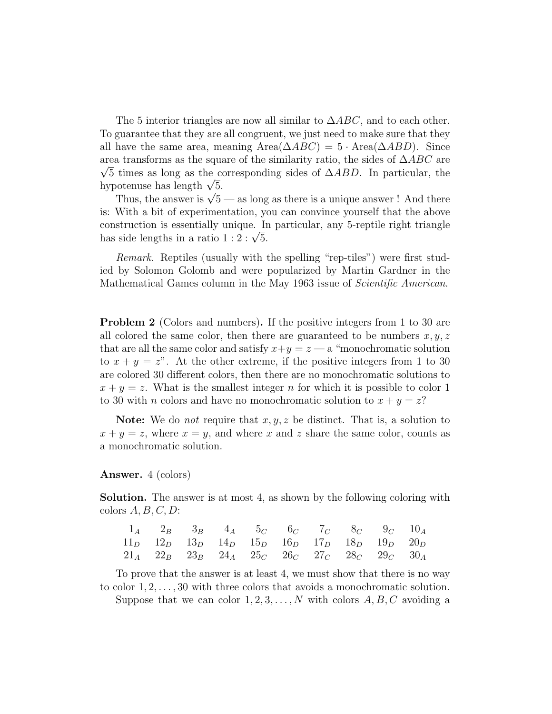The 5 interior triangles are now all similar to  $\triangle ABC$ , and to each other. To guarantee that they are all congruent, we just need to make sure that they all have the same area, meaning Area $(\Delta ABC) = 5 \cdot \text{Area}(\Delta ABD)$ . Since area transforms as the square of the similarity ratio, the sides of  $\triangle ABC$  are  $\sqrt{5}$  times as long as the corresponding sides of  $\triangle ABD$ . In particular, the  $\sqrt{5}$  times as long as the controller value of the controller value of  $\sqrt{5}$ .

otenuse nas iengtn  $\sqrt{5}$  — as long as there is a unique answer ! And there Thus, the answer is  $\sqrt{5}$  — as long as there is a unique answer ! And there is: With a bit of experimentation, you can convince yourself that the above construction is essentially unique. In particular, any 5-reptile right triangle construction is essentially unique. If<br>has side lengths in a ratio  $1:2:\sqrt{5}$ .

Remark. Reptiles (usually with the spelling "rep-tiles") were first studied by Solomon Golomb and were popularized by Martin Gardner in the Mathematical Games column in the May 1963 issue of Scientific American.

**Problem 2** (Colors and numbers). If the positive integers from 1 to 30 are all colored the same color, then there are guaranteed to be numbers  $x, y, z$ that are all the same color and satisfy  $x+y=z$  — a "monochromatic solution" to  $x + y = z$ ". At the other extreme, if the positive integers from 1 to 30 are colored 30 different colors, then there are no monochromatic solutions to  $x + y = z$ . What is the smallest integer n for which it is possible to color 1 to 30 with *n* colors and have no monochromatic solution to  $x + y = z$ ?

**Note:** We do *not* require that  $x, y, z$  be distinct. That is, a solution to  $x + y = z$ , where  $x = y$ , and where x and z share the same color, counts as a monochromatic solution.

## Answer. 4 (colors)

Solution. The answer is at most 4, as shown by the following coloring with colors  $A, B, C, D$ :

|  | $1_A$ $2_B$ $3_B$ $4_A$ $5_C$ $6_C$ $7_C$ $8_C$ $9_C$ $10_A$          |  |  |  |  |
|--|-----------------------------------------------------------------------|--|--|--|--|
|  | $11_D$ $12_D$ $13_D$ $14_D$ $15_D$ $16_D$ $17_D$ $18_D$ $19_D$ $20_D$ |  |  |  |  |
|  | $21_A$ $22_B$ $23_B$ $24_A$ $25_C$ $26_C$ $27_C$ $28_C$ $29_C$ $30_A$ |  |  |  |  |

To prove that the answer is at least 4, we must show that there is no way to color  $1, 2, \ldots, 30$  with three colors that avoids a monochromatic solution.

Suppose that we can color  $1, 2, 3, \ldots, N$  with colors  $A, B, C$  avoiding a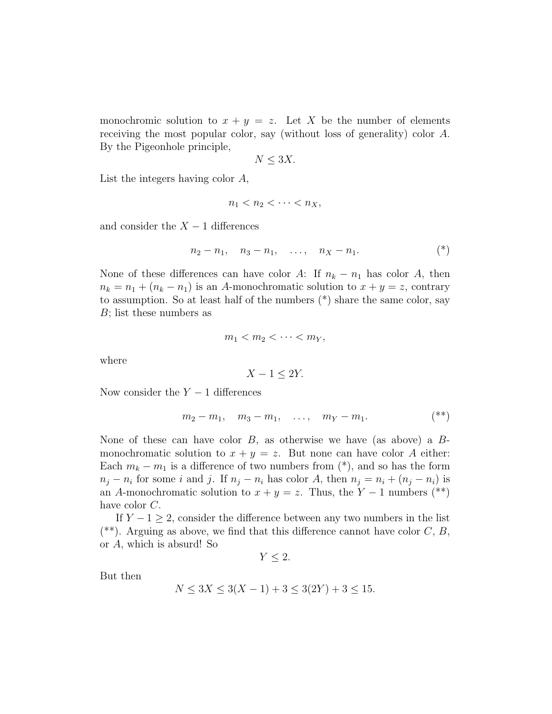monochromic solution to  $x + y = z$ . Let X be the number of elements receiving the most popular color, say (without loss of generality) color A. By the Pigeonhole principle,

$$
N \leq 3X.
$$

List the integers having color A,

$$
n_1 < n_2 < \cdots < n_X
$$

and consider the  $X - 1$  differences

$$
n_2 - n_1, \quad n_3 - n_1, \quad \ldots, \quad n_X - n_1. \tag{*}
$$

None of these differences can have color A: If  $n_k - n_1$  has color A, then  $n_k = n_1 + (n_k - n_1)$  is an A-monochromatic solution to  $x + y = z$ , contrary to assumption. So at least half of the numbers (\*) share the same color, say B; list these numbers as

$$
m_1 < m_2 < \cdots < m_Y,
$$

where

$$
X - 1 \le 2Y.
$$

Now consider the  $Y - 1$  differences

$$
m_2 - m_1
$$
,  $m_3 - m_1$ , ...,  $m_Y - m_1$ . (\*)

None of these can have color  $B$ , as otherwise we have (as above) a  $B$ monochromatic solution to  $x + y = z$ . But none can have color A either: Each  $m_k - m_1$  is a difference of two numbers from  $(*)$ , and so has the form  $n_j - n_i$  for some i and j. If  $n_j - n_i$  has color A, then  $n_j = n_i + (n_j - n_i)$  is an A-monochromatic solution to  $x + y = z$ . Thus, the Y – 1 numbers (\*\*) have color C.

If  $Y - 1 \geq 2$ , consider the difference between any two numbers in the list  $(**)$ . Arguing as above, we find that this difference cannot have color C, B, or A, which is absurd! So

 $Y < 2$ .

But then

$$
N \le 3X \le 3(X - 1) + 3 \le 3(2Y) + 3 \le 15.
$$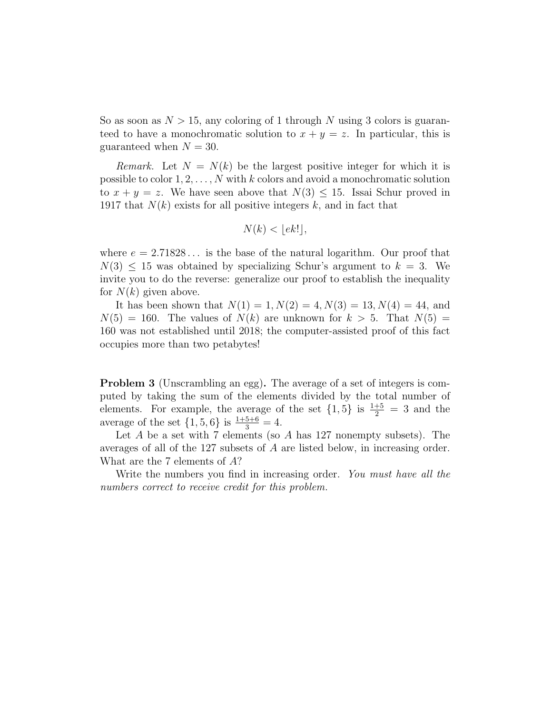So as soon as  $N > 15$ , any coloring of 1 through N using 3 colors is guaranteed to have a monochromatic solution to  $x + y = z$ . In particular, this is guaranteed when  $N = 30$ .

Remark. Let  $N = N(k)$  be the largest positive integer for which it is possible to color  $1, 2, \ldots, N$  with k colors and avoid a monochromatic solution to  $x + y = z$ . We have seen above that  $N(3) \leq 15$ . Issai Schur proved in 1917 that  $N(k)$  exists for all positive integers k, and in fact that

$$
N(k) < \lfloor ek! \rfloor,
$$

where  $e = 2.71828...$  is the base of the natural logarithm. Our proof that  $N(3) \leq 15$  was obtained by specializing Schur's argument to  $k = 3$ . We invite you to do the reverse: generalize our proof to establish the inequality for  $N(k)$  given above.

It has been shown that  $N(1) = 1, N(2) = 4, N(3) = 13, N(4) = 44$ , and  $N(5) = 160$ . The values of  $N(k)$  are unknown for  $k > 5$ . That  $N(5) =$ 160 was not established until 2018; the computer-assisted proof of this fact occupies more than two petabytes!

Problem 3 (Unscrambling an egg). The average of a set of integers is computed by taking the sum of the elements divided by the total number of elements. For example, the average of the set  $\{1,5\}$  is  $\frac{1+5}{2} = 3$  and the average of the set  $\{1, 5, 6\}$  is  $\frac{1+5+6}{3} = 4$ .

Let  $A$  be a set with  $7$  elements (so  $A$  has 127 nonempty subsets). The averages of all of the 127 subsets of A are listed below, in increasing order. What are the 7 elements of A?

Write the numbers you find in increasing order. You must have all the numbers correct to receive credit for this problem.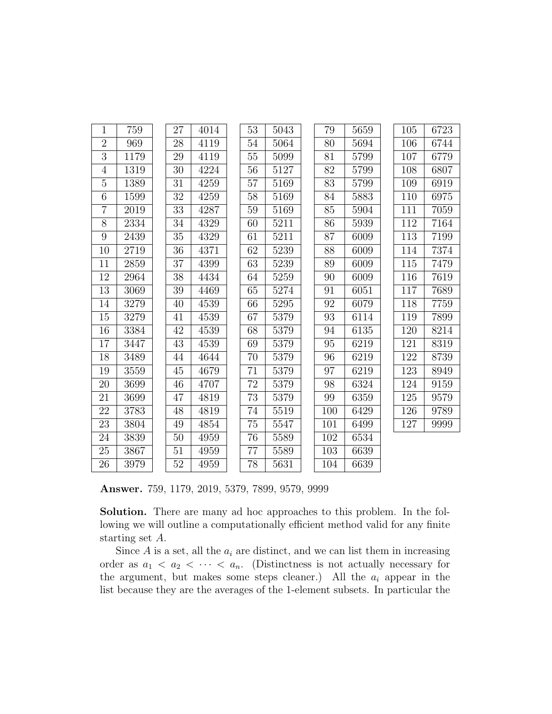| $\mathbf{1}$   | 759  | 27     | 4014 | 53     | 5043 | 79  | 5659 | 105 | 6723 |
|----------------|------|--------|------|--------|------|-----|------|-----|------|
| $\overline{2}$ | 969  | 28     | 4119 | 54     | 5064 | 80  | 5694 | 106 | 6744 |
| 3              | 1179 | 29     | 4119 | 55     | 5099 | 81  | 5799 | 107 | 6779 |
| $\overline{4}$ | 1319 | 30     | 4224 | 56     | 5127 | 82  | 5799 | 108 | 6807 |
| $\overline{5}$ | 1389 | 31     | 4259 | 57     | 5169 | 83  | 5799 | 109 | 6919 |
| 6              | 1599 | 32     | 4259 | 58     | 5169 | 84  | 5883 | 110 | 6975 |
| $\overline{7}$ | 2019 | 33     | 4287 | $59\,$ | 5169 | 85  | 5904 | 111 | 7059 |
| 8              | 2334 | $34\,$ | 4329 | 60     | 5211 | 86  | 5939 | 112 | 7164 |
| 9              | 2439 | 35     | 4329 | 61     | 5211 | 87  | 6009 | 113 | 7199 |
| 10             | 2719 | 36     | 4371 | 62     | 5239 | 88  | 6009 | 114 | 7374 |
| 11             | 2859 | 37     | 4399 | 63     | 5239 | 89  | 6009 | 115 | 7479 |
| 12             | 2964 | 38     | 4434 | 64     | 5259 | 90  | 6009 | 116 | 7619 |
| $13\,$         | 3069 | $39\,$ | 4469 | 65     | 5274 | 91  | 6051 | 117 | 7689 |
| 14             | 3279 | 40     | 4539 | 66     | 5295 | 92  | 6079 | 118 | 7759 |
| 15             | 3279 | 41     | 4539 | 67     | 5379 | 93  | 6114 | 119 | 7899 |
| 16             | 3384 | 42     | 4539 | 68     | 5379 | 94  | 6135 | 120 | 8214 |
| 17             | 3447 | 43     | 4539 | 69     | 5379 | 95  | 6219 | 121 | 8319 |
| 18             | 3489 | 44     | 4644 | 70     | 5379 | 96  | 6219 | 122 | 8739 |
| 19             | 3559 | 45     | 4679 | $71\,$ | 5379 | 97  | 6219 | 123 | 8949 |
| 20             | 3699 | 46     | 4707 | 72     | 5379 | 98  | 6324 | 124 | 9159 |
| 21             | 3699 | 47     | 4819 | 73     | 5379 | 99  | 6359 | 125 | 9579 |
| 22             | 3783 | 48     | 4819 | 74     | 5519 | 100 | 6429 | 126 | 9789 |
| 23             | 3804 | 49     | 4854 | 75     | 5547 | 101 | 6499 | 127 | 9999 |
| 24             | 3839 | 50     | 4959 | 76     | 5589 | 102 | 6534 |     |      |
| 25             | 3867 | 51     | 4959 | 77     | 5589 | 103 | 6639 |     |      |
| 26             | 3979 | 52     | 4959 | 78     | 5631 | 104 | 6639 |     |      |

Answer. 759, 1179, 2019, 5379, 7899, 9579, 9999

Solution. There are many ad hoc approaches to this problem. In the following we will outline a computationally efficient method valid for any finite starting set A.

Since  $A$  is a set, all the  $a_i$  are distinct, and we can list them in increasing order as  $a_1 < a_2 < \cdots < a_n$ . (Distinctness is not actually necessary for the argument, but makes some steps cleaner.) All the  $a_i$  appear in the list because they are the averages of the 1-element subsets. In particular the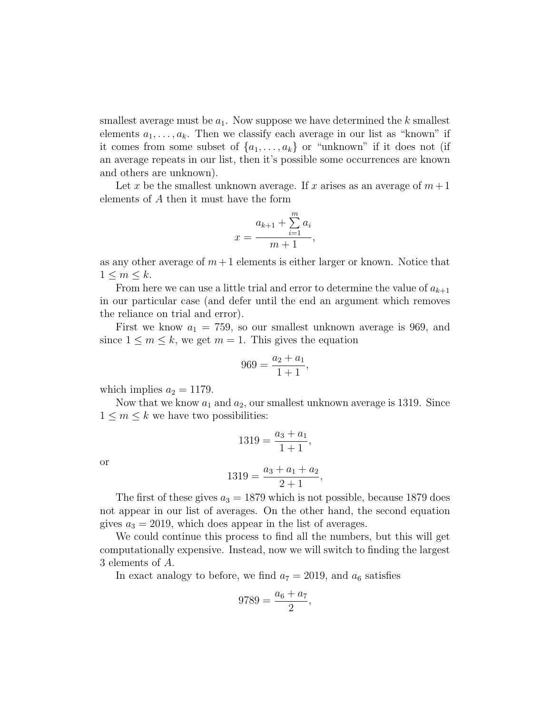smallest average must be  $a_1$ . Now suppose we have determined the k smallest elements  $a_1, \ldots, a_k$ . Then we classify each average in our list as "known" if it comes from some subset of  $\{a_1, \ldots, a_k\}$  or "unknown" if it does not (if an average repeats in our list, then it's possible some occurrences are known and others are unknown).

Let x be the smallest unknown average. If x arises as an average of  $m+1$ elements of A then it must have the form

$$
x = \frac{a_{k+1} + \sum_{i=1}^{m} a_i}{m+1},
$$

as any other average of  $m+1$  elements is either larger or known. Notice that  $1 \leq m \leq k$ .

From here we can use a little trial and error to determine the value of  $a_{k+1}$ in our particular case (and defer until the end an argument which removes the reliance on trial and error).

First we know  $a_1 = 759$ , so our smallest unknown average is 969, and since  $1 \leq m \leq k$ , we get  $m = 1$ . This gives the equation

$$
969 = \frac{a_2 + a_1}{1 + 1},
$$

which implies  $a_2 = 1179$ .

Now that we know  $a_1$  and  $a_2$ , our smallest unknown average is 1319. Since  $1 \leq m \leq k$  we have two possibilities:

$$
1319 = \frac{a_3 + a_1}{1 + 1},
$$

or

$$
1319 = \frac{a_3 + a_1 + a_2}{2 + 1},
$$

The first of these gives  $a_3 = 1879$  which is not possible, because 1879 does not appear in our list of averages. On the other hand, the second equation gives  $a_3 = 2019$ , which does appear in the list of averages.

We could continue this process to find all the numbers, but this will get computationally expensive. Instead, now we will switch to finding the largest 3 elements of A.

In exact analogy to before, we find  $a_7 = 2019$ , and  $a_6$  satisfies

$$
9789 = \frac{a_6 + a_7}{2},
$$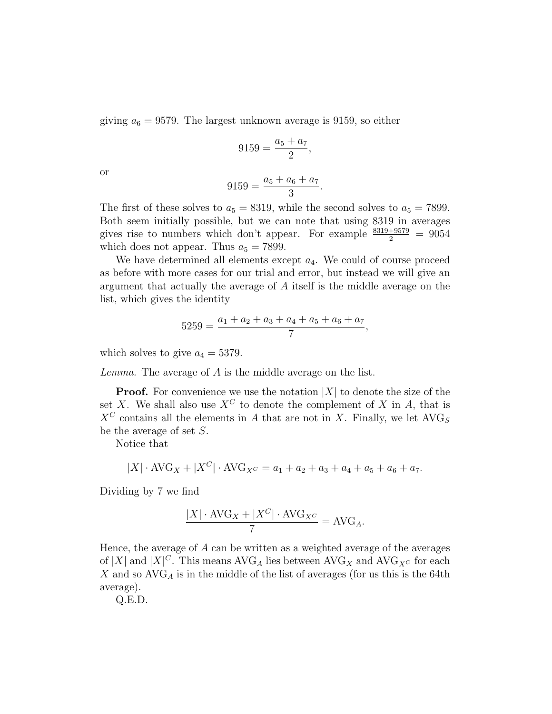giving  $a_6 = 9579$ . The largest unknown average is 9159, so either

$$
9159 = \frac{a_5 + a_7}{2},
$$

or

$$
9159 = \frac{a_5 + a_6 + a_7}{3}.
$$

The first of these solves to  $a_5 = 8319$ , while the second solves to  $a_5 = 7899$ . Both seem initially possible, but we can note that using 8319 in averages gives rise to numbers which don't appear. For example  $\frac{8319+9579}{2} = 9054$ which does not appear. Thus  $a_5 = 7899$ .

We have determined all elements except  $a_4$ . We could of course proceed as before with more cases for our trial and error, but instead we will give an argument that actually the average of A itself is the middle average on the list, which gives the identity

$$
5259 = \frac{a_1 + a_2 + a_3 + a_4 + a_5 + a_6 + a_7}{7},
$$

which solves to give  $a_4 = 5379$ .

Lemma. The average of A is the middle average on the list.

**Proof.** For convenience we use the notation  $|X|$  to denote the size of the set X. We shall also use  $X^C$  to denote the complement of X in A, that is  $X^C$  contains all the elements in A that are not in X. Finally, we let  $\text{AVG}_S$ be the average of set S.

Notice that

$$
|X| \cdot \text{AVG}_X + |X^C| \cdot \text{AVG}_{X^C} = a_1 + a_2 + a_3 + a_4 + a_5 + a_6 + a_7.
$$

Dividing by 7 we find

$$
\frac{|X| \cdot \text{AVG}_X + |X^C| \cdot \text{AVG}_{X^C}}{7} = \text{AVG}_A.
$$

Hence, the average of  $A$  can be written as a weighted average of the averages of |X| and  $|X|^C$ . This means AVG<sub>A</sub> lies between AVG<sub>X</sub> and AVG<sub>X</sub> $c$  for each X and so  $AVG_A$  is in the middle of the list of averages (for us this is the 64th average).

Q.E.D.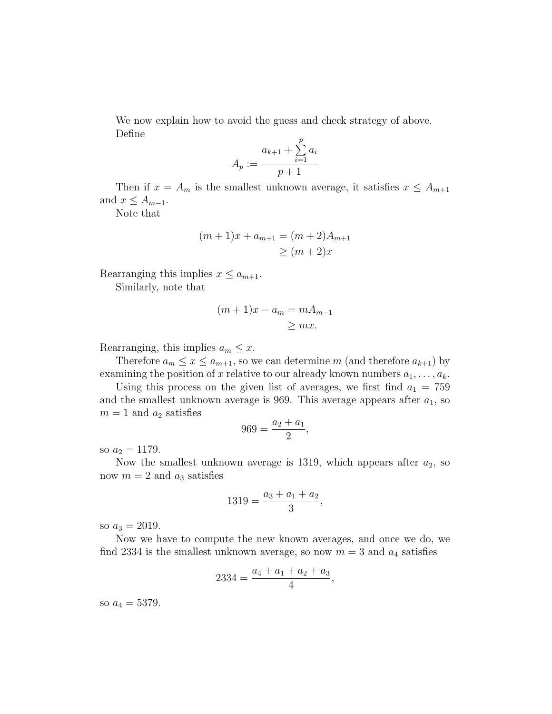We now explain how to avoid the guess and check strategy of above. Define

$$
A_p := \frac{a_{k+1} + \sum_{i=1}^p a_i}{p+1}
$$

Then if  $x = A_m$  is the smallest unknown average, it satisfies  $x \leq A_{m+1}$ and  $x \leq A_{m-1}$ .

Note that

$$
(m+1)x + a_{m+1} = (m+2)A_{m+1}
$$
  
\n
$$
\geq (m+2)x
$$

Rearranging this implies  $x \le a_{m+1}$ .

Similarly, note that

$$
(m+1)x - a_m = mA_{m-1}
$$
  

$$
\ge mx.
$$

Rearranging, this implies  $a_m \leq x$ .

Therefore  $a_m \leq x \leq a_{m+1}$ , so we can determine m (and therefore  $a_{k+1}$ ) by examining the position of x relative to our already known numbers  $a_1, \ldots, a_k$ .

Using this process on the given list of averages, we first find  $a_1 = 759$ and the smallest unknown average is 969. This average appears after  $a_1$ , so  $m = 1$  and  $a_2$  satisfies

$$
969 = \frac{a_2 + a_1}{2},
$$

so  $a_2 = 1179$ .

Now the smallest unknown average is 1319, which appears after  $a_2$ , so now  $m = 2$  and  $a_3$  satisfies

$$
1319 = \frac{a_3 + a_1 + a_2}{3},
$$

so  $a_3 = 2019$ .

Now we have to compute the new known averages, and once we do, we find 2334 is the smallest unknown average, so now  $m = 3$  and  $a_4$  satisfies

$$
2334 = \frac{a_4 + a_1 + a_2 + a_3}{4},
$$

so  $a_4 = 5379$ .